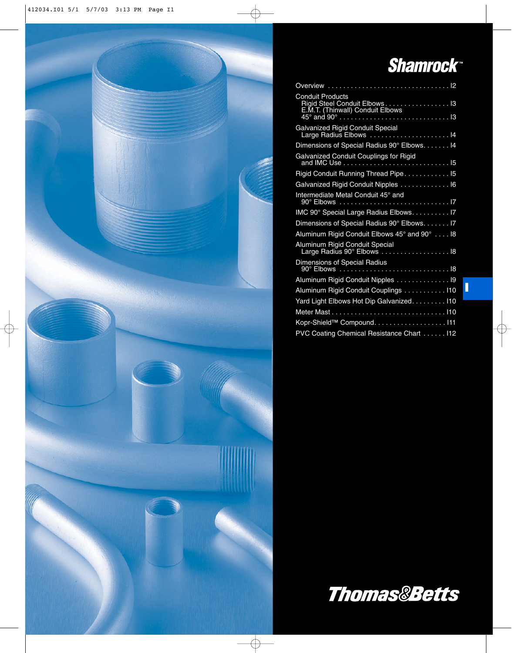

**I**

| <b>Conduit Products</b><br>Rigid Steel Conduit Elbows 13<br>E.M.T. (Thinwall) Conduit Elbows |
|----------------------------------------------------------------------------------------------|
| <b>Galvanized Rigid Conduit Special</b><br>Large Radius Elbows  14                           |
| Dimensions of Special Radius 90° Elbows. 14                                                  |
| Galvanized Conduit Couplings for Rigid<br>and IMC Use<br>. 15                                |
| Rigid Conduit Running Thread Pipe 15                                                         |
| Galvanized Rigid Conduit Nipples 16                                                          |
| Intermediate Metal Conduit 45° and                                                           |
| IMC 90° Special Large Radius Elbows. 17                                                      |
| Dimensions of Special Radius 90° Elbows. 17                                                  |
| Aluminum Rigid Conduit Elbows 45° and 90° 18                                                 |
| Aluminum Rigid Conduit Special<br>Large Radius 90° Elbows 18                                 |
| Dimensions of Special Radius                                                                 |
| Aluminum Rigid Conduit Nipples 19                                                            |
| Aluminum Rigid Conduit Couplings 110                                                         |
| Yard Light Elbows Hot Dip Galvanized. 110                                                    |
|                                                                                              |
| Kopr-Shield™ Compound. 111                                                                   |
| PVC Coating Chemical Resistance Chart 112                                                    |
|                                                                                              |



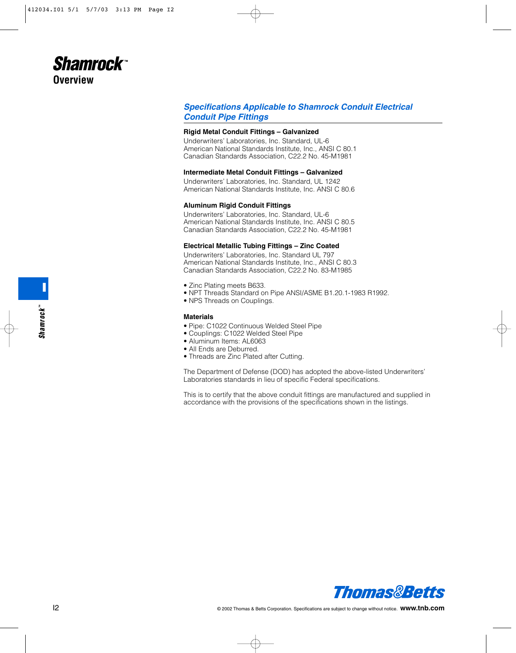

## *Specifications Applicable to Shamrock Conduit Electrical Conduit Pipe Fittings*

#### **Rigid Metal Conduit Fittings – Galvanized**

Underwriters' Laboratories, Inc. Standard, UL-6 American National Standards Institute, Inc., ANSI C 80.1 Canadian Standards Association, C22.2 No. 45-M1981

#### **Intermediate Metal Conduit Fittings – Galvanized**

Underwriters' Laboratories, Inc. Standard, UL 1242 American National Standards Institute, Inc. ANSI C 80.6

#### **Aluminum Rigid Conduit Fittings**

Underwriters' Laboratories, Inc. Standard, UL-6 American National Standards Institute, Inc. ANSI C 80.5 Canadian Standards Association, C22.2 No. 45-M1981

#### **Electrical Metallic Tubing Fittings – Zinc Coated**

Underwriters' Laboratories, Inc. Standard UL 797 American National Standards Institute, Inc., ANSI C 80.3 Canadian Standards Association, C22.2 No. 83-M1985

- Zinc Plating meets B633.
- NPT Threads Standard on Pipe ANSI/ASME B1.20.1-1983 R1992.
- NPS Threads on Couplings.

#### **Materials**

- Pipe: C1022 Continuous Welded Steel Pipe
- Couplings: C1022 Welded Steel Pipe
- Aluminum Items: AL6063
- All Ends are Deburred.
- Threads are Zinc Plated after Cutting.

The Department of Defense (DOD) has adopted the above-listed Underwriters' Laboratories standards in lieu of specific Federal specifications.

This is to certify that the above conduit fittings are manufactured and supplied in accordance with the provisions of the specifications shown in the listings.

**I**

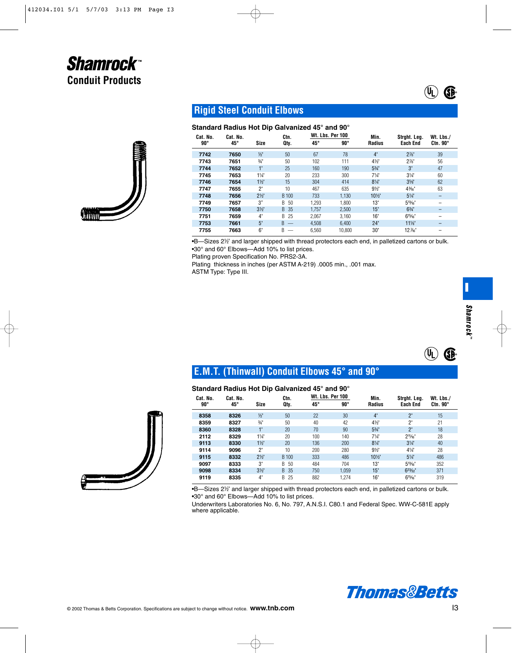

# **Rigid Steel Conduit Elbows**

## **Standard Radius Hot Dip Galvanized 45° and 90°**

| Cat. No.<br>$90^{\circ}$ | Cat. No.<br>45° | <b>Size</b>    | Ctn.<br>Oty.                  | Wt. Lbs. Per 100<br>$45^{\circ}$ | $90^{\circ}$ | Min.<br>Radius   | Strght. Leg.<br><b>Each End</b> | Wt. Lbs./<br>$Ctn.90^\circ$ |
|--------------------------|-----------------|----------------|-------------------------------|----------------------------------|--------------|------------------|---------------------------------|-----------------------------|
| 7742                     | 7650            | $\frac{1}{2}$  | 50                            | 67                               | 78           | 4"               | $2\frac{7}{8}$ "                | 39                          |
| 7743                     | 7651            | $\frac{3}{4}$  | 50                            | 102                              | 111          | $4\frac{1}{2}$   | $2\%$ "                         | 56                          |
| 7744                     | 7652            | 1"             | 25                            | 160                              | 190          | $5\frac{3}{4}$ " | 3"                              | 47                          |
| 7745                     | 7653            | $1\frac{1}{4}$ | 20                            | 233                              | 300          | $7\frac{1}{4}$   | $3\frac{1}{4}$                  | 60                          |
| 7746                     | 7654            | $1\frac{1}{2}$ | 15                            | 304                              | 414          | $8\frac{1}{4}$   | $3\frac{5}{8}$                  | 62                          |
| 7747                     | 7655            | 2"             | 10                            | 467                              | 635          | $9\frac{1}{2}$   | 43/6"                           | 63                          |
| 7748                     | 7656            | $2\frac{1}{2}$ | B 100                         | 733                              | 1,130        | 101/2"           | $5\frac{1}{4}$                  | -                           |
| 7749                     | 7657            | 3"             | 50<br>B                       | 1.293                            | 1.800        | 13"              | $5^{13}/16"$                    |                             |
| 7750                     | 7658            | 3 <sup>2</sup> | 35<br>B.                      | 1.757                            | 2,500        | 15"              | $6\frac{3}{4}$ "                |                             |
| 7751                     | 7659            | 4"             | 25<br>B                       | 2.067                            | 3.160        | 16"              | $6^{15}/n$                      |                             |
| 7753                     | 7661            | 5"             | B                             | 4.508                            | 6.400        | 24"              | $11\%$                          |                             |
| 7755                     | 7663            | 6"             | B<br>$\overline{\phantom{0}}$ | 6.560                            | 10.800       | 30"              | 12 1/6"                         |                             |

•B-Sizes 2½" and larger shipped with thread protectors each end, in palletized cartons or bulk. •30° and 60° Elbows—Add 10% to list prices.

Plating proven Specification No. PRS2-3A.

Plating thickness in inches (per ASTM A-219) .0005 min., .001 max. ASTM Type: Type III.

**I**

 $\left(\overline{\mathsf{U}_{\mathsf{L}}}\right)$ 

**®**

 $\left(\mathbf{\overline{q}_l}\right)$ 

**®**

# **E.M.T. (Thinwall) Conduit Elbows 45° and 90°**

## **Standard Radius Hot Dip Galvanized 45° and 90°**

| Cat. No.   | Cat. No. |                | Ctn.     | <b>Wt. Lbs. Per 100</b> |            | Min.             | Strght. Leg.    | Wt. Lbs./      |  |
|------------|----------|----------------|----------|-------------------------|------------|------------------|-----------------|----------------|--|
| $90^\circ$ | 45°      | <b>Size</b>    | Oty.     | $45^{\circ}$            | $90^\circ$ | <b>Radius</b>    | <b>Each End</b> | $Ctn.90^\circ$ |  |
| 8358       | 8326     | $\frac{1}{2}$  | 50       | 22                      | 30         | 4"               | $2^{\circ}$     | 15             |  |
| 8359       | 8327     | $\frac{3}{4}$  | 50       | 40                      | 42         | $4\frac{1}{2}$   | 2"              | 21             |  |
| 8360       | 8328     | $1^{\circ}$    | 20       | 70                      | 90         | $5\frac{3}{4}$ " | $2^{\circ}$     | 18             |  |
| 2112       | 8329     | 11/4"          | 20       | 100                     | 140        | $7\frac{1}{4}$   | $2^{11}/16"$    | 28             |  |
| 9113       | 8330     | $1\frac{1}{2}$ | 20       | 136                     | 200        | $8\frac{1}{4}$   | $3\frac{1}{4}$  | 40             |  |
| 9114       | 9096     | 2"             | 10       | 200                     | 280        | $9\frac{1}{2}$   | $4\frac{1}{4}$  | 28             |  |
| 9115       | 8332     | $2\frac{1}{2}$ | B 100    | 333                     | 486        | 101/2"           | $5\frac{1}{4}$  | 486            |  |
| 9097       | 8333     | 3"             | 50<br>B  | 484                     | 704        | 13"              | $5^{13}/6$      | 352            |  |
| 9098       | 8334     | 3 <sup>2</sup> | B.<br>35 | 750                     | 1.059      | 15"              | $6^{23}/32$     | 371            |  |
| 9119       | 8335     | 4"             | 25<br>B. | 882                     | 1.274      | 16"              | $6^{15}/16$     | 319            |  |

•B-Sizes 2½" and larger shipped with thread protectors each end, in palletized cartons or bulk. •30° and 60° Elbows—Add 10% to list prices.

Underwriters Laboratories No. 6, No. 797, A.N.S.I. C80.1 and Federal Spec. WW-C-581E apply where applicable.



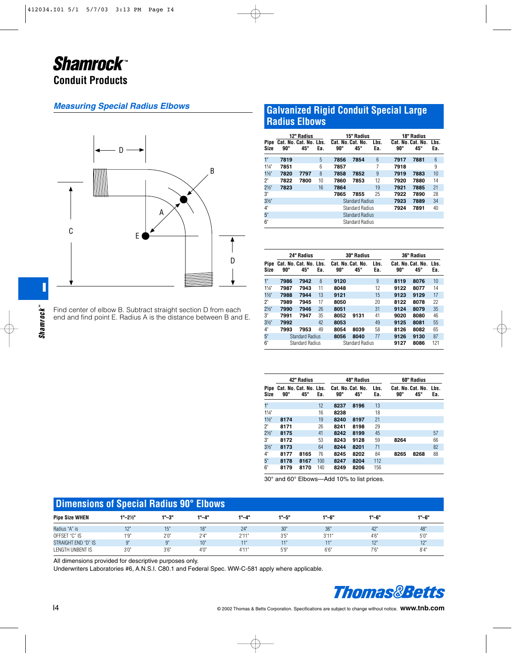## *Measuring Special Radius Elbows*



Find center of elbow B. Subtract straight section D from each end and find point E. Radius A is the distance between B and E.

## **Galvanized Rigid Conduit Special Large Radius Elbows**

| Pipe<br>Size   | 90°  | 12" Radius<br>Cat. No. Cat. No. Lbs.<br>$45^{\circ}$ | Ea. | Cat. No. Cat. No.<br>$90^{\circ}$ | 15" Radius<br>$45^{\circ}$ | Lbs.<br>Ea. | $90^{\circ}$ | <b>18" Radius</b><br>Cat. No. Cat. No. Lbs.<br>$45^{\circ}$ | Ea. |  |
|----------------|------|------------------------------------------------------|-----|-----------------------------------|----------------------------|-------------|--------------|-------------------------------------------------------------|-----|--|
| 1"             | 7819 |                                                      | 5   | 7856                              | 7854                       | 6           | 7917         | 7881                                                        | 6   |  |
| $11/4$ "       | 7851 |                                                      | 6   | 7857                              |                            | 7           | 7918         |                                                             | 9   |  |
| $1\frac{1}{2}$ | 7820 | 7797                                                 | 8   | 7858                              | 7852                       | 9           | 7919         | 7883                                                        | 10  |  |
| 2"             | 7822 | 7800                                                 | 10  | 7860                              | 7853                       | 12          | 7920         | 7880                                                        | 14  |  |
| $2\frac{1}{2}$ | 7823 |                                                      | 16  | 7864                              |                            | 19          | 7921         | 7885                                                        | 21  |  |
| 3"             |      |                                                      |     | 7865                              | 7855                       | 25          | 7922         | 7890                                                        | 28  |  |
| 3 <sup>1</sup> |      |                                                      |     |                                   | <b>Standard Radius</b>     |             | 7923         | 7889                                                        | 34  |  |
| 4"             |      |                                                      |     |                                   | <b>Standard Radius</b>     |             | 7924         | 7891                                                        | 40  |  |
| 5"             |      |                                                      |     | <b>Standard Radius</b>            |                            |             |              |                                                             |     |  |
| 6"             |      |                                                      |     | <b>Standard Radius</b>            |                            |             |              |                                                             |     |  |

|                 |                        | 24" Radius                             |     |                                   | <b>30" Radius</b>      |              | 36" Radius   |                               |     |  |
|-----------------|------------------------|----------------------------------------|-----|-----------------------------------|------------------------|--------------|--------------|-------------------------------|-----|--|
| Pipe<br>Size    | 90°                    | Cat. No. Cat. No. Lbs.<br>$45^{\circ}$ | Ea. | Cat. No. Cat. No.<br>$90^{\circ}$ | 45°                    | Lbs.<br>Ea.  | $90^{\circ}$ | Cat. No. Cat. No. Lbs.<br>45° | Ea. |  |
| 1"              | 7986                   | 7942                                   | 8   | 9120                              |                        | 9            | 8119         | 8076                          | 10  |  |
| $1\frac{1}{4}$  | 7987                   | 7943                                   | 11  | 8048                              |                        | 12           | 9122         | 8077                          | 14  |  |
| $1\frac{1}{2}$  | 7988                   | 7944                                   | 13  | 9121                              |                        | 15           | 9123         | 9129                          | 17  |  |
| ን"              | 7989                   | 7945                                   | 17  | 8050                              |                        | 20           | 8122         | 8078                          | 22  |  |
| $2\frac{1}{2}$  | 7990                   | 7946                                   | 26  | 8051                              |                        | 31           | 9124         | 8079                          | 35  |  |
| 3"              | 7991                   | 7947                                   | 35  | 8052                              | 9131                   | 41           | 9020         | 8080                          | 46  |  |
| 3 <sup>1</sup>  | 7992                   |                                        | 42  | 8053                              |                        | 49           | 9125         | 8081                          | 55  |  |
| 4"              | 7993                   | 7953                                   | 49  | 8054                              | 8039                   | 58           | 8126         | 8082                          | 65  |  |
| 5 <sup>th</sup> |                        | <b>Standard Radius</b>                 |     | 8056                              | 8040                   | 77           | 9126         | 9130                          | 87  |  |
| 6"              | <b>Standard Radius</b> |                                        |     |                                   | <b>Standard Radius</b> | 9127<br>8086 |              |                               | 121 |  |

|                 |      | 42" Radius                             |     |              | 48" Radius                        |             | 60" Radius                             |              |     |  |
|-----------------|------|----------------------------------------|-----|--------------|-----------------------------------|-------------|----------------------------------------|--------------|-----|--|
| Pipe<br>Size    | 90°  | Cat. No. Cat. No. Lbs.<br>$45^{\circ}$ | Ea. | $90^{\circ}$ | Cat. No. Cat. No.<br>$45^{\circ}$ | Lbs.<br>Ea. | Cat. No. Cat. No. Lbs.<br>$90^{\circ}$ | $45^{\circ}$ | Ea. |  |
| 1"              |      |                                        | 12  | 8237         | 8196                              | 13          |                                        |              |     |  |
| $1\frac{1}{4}$  |      |                                        | 16  | 8238         |                                   | 18          |                                        |              |     |  |
| $1\frac{1}{2}$  | 8174 |                                        | 19  | 8240         | 8197                              | 21          |                                        |              |     |  |
| 2"              | 8171 |                                        | 26  | 8241         | 8198                              | 29          |                                        |              |     |  |
| $2\frac{1}{2}$  | 8175 |                                        | 41  | 8242         | 8199                              | 45          |                                        |              | 57  |  |
| 3"              | 8172 |                                        | 53  | 8243         | 9128                              | 59          | 8264                                   |              | 66  |  |
| $3\frac{1}{2}$  | 8173 |                                        | 64  | 8244         | 8201                              | 71          |                                        |              | 82  |  |
| 4"              | 8177 | 8165                                   | 76  | 8245         | 8202                              | 84          | 8265                                   | 8268         | 88  |  |
| 5 <sup>th</sup> | 8178 | 8167                                   | 100 | 8247         | 8204                              | 112         |                                        |              |     |  |
| 6"              | 8179 | 8170                                   | 140 | 8249         | 8206                              | 156         |                                        |              |     |  |

30° and 60° Elbows—Add 10% to list prices.

|                       | Dimensions of Special Radius 90° Elbows |            |       |       |       |            |           |                  |  |  |  |  |  |
|-----------------------|-----------------------------------------|------------|-------|-------|-------|------------|-----------|------------------|--|--|--|--|--|
| <b>Pipe Size WHEN</b> | $1 - 2\frac{1}{2}$                      | $1 - 3$ "  | 1"-4" | 1"-4" | 1"-5" | 1"–6"      | $1" - 6"$ | 1"-6"            |  |  |  |  |  |
| Radius "A" is         | 12"                                     | 15"        | 18"   | 24"   | 30"   | 36'        | 42"       | 48"              |  |  |  |  |  |
| OFFSET "C" IS         | 1'9''                                   | 2'0''      | 2'4'  | 2'11" | 3'5'  | 3'11"      | 4.6"      | 5'0''            |  |  |  |  |  |
| STRAIGHT END "D" IS   | $Q^{\prime\prime}$                      | $^{\circ}$ | 10"   | 11'   | 11"   | $-4 - 4$ H | 12"       | 10 <sup>ii</sup> |  |  |  |  |  |
| LENGTH UNBENT IS      | 3'0'                                    | 3'6''      | 4'0'' | 4'11" | 5'9'' | 6'6'       | 7.6"      | 8'4'             |  |  |  |  |  |

All dimensions provided for descriptive purposes only.

Underwriters Laboratories #6, A.N.S.I. C80.1 and Federal Spec. WW-C-581 apply where applicable.

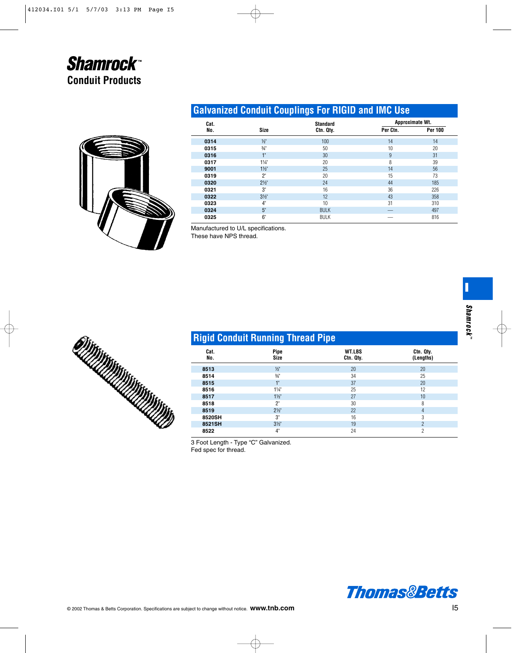

# **Galvanized Conduit Couplings For RIGID and IMC Use**

| Cat. |                 | <b>Standard</b> | Approximate Wt. |                |
|------|-----------------|-----------------|-----------------|----------------|
| No.  | <b>Size</b>     | Ctn. Qty.       | Per Ctn.        | <b>Per 100</b> |
| 0314 | $\frac{1}{2}$   | 100             | 14              | 14             |
| 0315 | $\frac{3}{4}$ " | 50              | 10              | 20             |
| 0316 | 1"              | 30              | 9               | 31             |
| 0317 | $1\frac{1}{4}$  | 20              | 8               | 39             |
| 9001 | $1\frac{1}{2}$  | 25              | 14              | 56             |
| 0319 | 2"              | 20              | 15              | 73             |
| 0320 | $2\frac{1}{2}$  | 24              | 44              | 185            |
| 0321 | 3"              | 16              | 36              | 226            |
| 0322 | $3\frac{1}{2}$  | 12              | 43              | 358            |
| 0323 | 4"              | 10              | 31              | 310            |
| 0324 | 5"              | <b>BULK</b>     |                 | 497            |
| 0325 | 6"              | <b>BULK</b>     |                 | 816            |

Manufactured to U/L specifications.

These have NPS thread.



# **Rigid Conduit Running Thread Pipe**

| Cat.<br>No. | <b>Pipe</b><br><b>Size</b> | <b>WT.LBS</b><br>Ctn. Qty. | Ctn. Qty.<br>(Lengths) |
|-------------|----------------------------|----------------------------|------------------------|
| 8513        | $\frac{1}{2}$              | 20                         | 20                     |
| 8514        | $\frac{3}{4}$              | 34                         | 25                     |
| 8515        | 1"                         | 37                         | 20                     |
| 8516        | $1\frac{1}{4}$             | 25                         | 12                     |
| 8517        | $1\frac{1}{2}$             | 27                         | 10                     |
| 8518        | 2"                         | 30                         | 8                      |
| 8519        | $2\frac{1}{2}$             | 22                         | 4                      |
| 8520SH      | 3"                         | 16                         | 3                      |
| 8521SH      | $3\frac{1}{2}$             | 19                         | $\overline{2}$         |
| 8522        | 4"                         | 24                         | $\overline{c}$         |

3 Foot Length - Type "C" Galvanized. Fed spec for thread.



**I**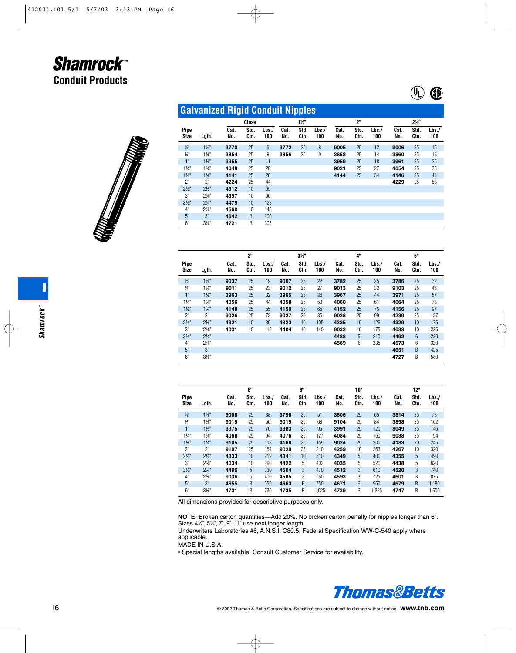



|                     | <b>Galvanized Rigid Conduit Nipples</b> |             |              |                 |             |                |              |             |              |             |                |              |             |
|---------------------|-----------------------------------------|-------------|--------------|-----------------|-------------|----------------|--------------|-------------|--------------|-------------|----------------|--------------|-------------|
|                     |                                         |             | Close        |                 |             | $1\frac{1}{2}$ |              |             | 2"           |             | $2\frac{1}{2}$ |              |             |
| Pipe<br><b>Size</b> | Lgth.                                   | Cat.<br>No. | Std.<br>Ctn. | Lbs.<br>100     | Cat.<br>No. | Std.<br>Ctn.   | Lbs./<br>100 | Cat.<br>No. | Std.<br>Ctn. | Lbs.<br>100 | Cat.<br>No.    | Std.<br>Ctn. | Lbs.<br>100 |
| $\frac{1}{2}$       | $1\frac{1}{8}$                          | 3770        | 25           | $6\overline{6}$ | 3772        | 25             | 8            | 9005        | 25           | 12          | 9006           | 25           | 15          |
| $\frac{3}{4}$       | $1\%$ "                                 | 3854        | 25           | 8               | 3856        | 25             | 9            | 3858        | 25           | 14          | 3860           | 25           | 18          |
| 1"                  | $1\frac{1}{2}$                          | 3955        | 25           | 11              |             |                |              | 3959        | 25           | 18          | 3961           | 25           | 25          |
| $1\frac{1}{4}$      | $15\frac{1}{8}$                         | 4048        | 25           | 20              |             |                |              | 9021        | 25           | 27          | 4054           | 25           | 35          |
| $1\frac{1}{2}$      | 13/4                                    | 4141        | 25           | 28              |             |                |              | 4144        | 25           | 34          | 4146           | 25           | 44          |
| 2"                  | 2"                                      | 4224        | 25           | 44              |             |                |              |             |              |             | 4229           | 25           | 58          |
| $2\frac{1}{2}$      | $2\frac{1}{2}$                          | 4312        | 10           | 65              |             |                |              |             |              |             |                |              |             |
| 3"                  | $25\frac{1}{8}$                         | 4397        | 10           | 90              |             |                |              |             |              |             |                |              |             |
| 3 <sup>2</sup>      | $2\frac{3}{4}$ "                        | 4479        | 10           | 123             |             |                |              |             |              |             |                |              |             |
| 4"                  | $2\%$ "                                 | 4560        | 10           | 145             |             |                |              |             |              |             |                |              |             |
| 5 <sup>°</sup>      | 3"                                      | 4642        | B            | 200             |             |                |              |             |              |             |                |              |             |
| $6^{\circ}$         | $3\frac{1}{8}$                          | 4721        | B            | 305             |             |                |              |             |              |             |                |              |             |

|                 |                  | 3"          |              |             |             | $3\frac{1}{2}$ | 4"          |             |              |             | 5"          |              |             |  |
|-----------------|------------------|-------------|--------------|-------------|-------------|----------------|-------------|-------------|--------------|-------------|-------------|--------------|-------------|--|
| Pipe<br>Size    | Lgth.            | Cat.<br>No. | Std.<br>Ctn. | Lbs.<br>100 | Cat.<br>No. | Std.<br>Ctn.   | Lbs.<br>100 | Cat.<br>No. | Std.<br>Ctn. | Lbs.<br>100 | Cat.<br>No. | Std.<br>Ctn. | Lbs.<br>100 |  |
| $\frac{1}{2}$   | $1\frac{1}{8}$   | 9037        | 25           | 19          | 9007        | 25             | 22          | 3782        | 25           | 25          | 3786        | 25           | 32          |  |
| $\frac{3}{4}$   | $1\%$ "          | 9011        | 25           | 23          | 9012        | 25             | 27          | 9013        | 25           | 32          | 9103        | 25           | 43          |  |
| $1^{\circ}$     | $1\frac{1}{2}$   | 3963        | 25           | 32          | 3965        | 25             | 38          | 3967        | 25           | 44          | 3971        | 25           | 57          |  |
| $1\frac{1}{4}$  | $15\frac{1}{8}$  | 4056        | 25           | 44          | 4058        | 25             | 53          | 4060        | 25           | 61          | 4064        | 25           | 78          |  |
| $1\frac{1}{2}$  | $1\frac{3}{4}$   | 4148        | 25           | 55          | 4150        | 25             | 65          | 4152        | 25           | 75          | 4156        | 25           | 97          |  |
| 2"              | 2"               | 9026        | 25           | 72          | 9027        | 25             | 85          | 9028        | 25           | 99          | 4239        | 25           | 127         |  |
| $2\frac{1}{2}$  | $2\frac{1}{2}$   | 4321        | 10           | 80          | 4323        | 10             | 105         | 4325        | 10           | 126         | 4329        | 10           | 175         |  |
| 3"              | $25\frac{1}{8}$  | 4031        | 10           | 115         | 4404        | 10             | 140         | 9032        | 10           | 175         | 4033        | 10           | 235         |  |
| 3 <sup>′</sup>  | $2\frac{3}{4}$ " |             |              |             |             |                |             | 4488        | 6            | 210         | 4492        | 6            | 280         |  |
| $4^{\circ}$     | $2\%$ "          |             |              |             |             |                |             | 4569        | 6            | 235         | 4573        | 6            | 320         |  |
| 5 <sup>th</sup> | 3"               |             |              |             |             |                |             |             |              |             | 4651        | B            | 425         |  |
| 6"              | $3\frac{1}{8}$   |             |              |             |             |                |             |             |              |             | 4727        | B            | 580         |  |

|                 |                  | 6"          |              |             |             | 8"           | 10"         |             |              |             |             | 12"          |             |  |  |
|-----------------|------------------|-------------|--------------|-------------|-------------|--------------|-------------|-------------|--------------|-------------|-------------|--------------|-------------|--|--|
| Pipe<br>Size    | Lgth.            | Cat.<br>No. | Std.<br>Ctn. | Lbs.<br>100 | Cat.<br>No. | Std.<br>Ctn. | Lbs.<br>100 | Cat.<br>No. | Std.<br>Ctn. | Lbs.<br>100 | Cat.<br>No. | Std.<br>Ctn. | Lbs.<br>100 |  |  |
| $\frac{1}{2}$   | $1\frac{1}{8}$   | 9008        | 25           | 38          | 3798        | 25           | 51          | 3806        | 25           | 65          | 3814        | 25           | 78          |  |  |
| $\frac{3}{4}$ " | $1\%$ "          | 9015        | 25           | 50          | 9019        | 25           | 68          | 9104        | 25           | 84          | 3898        | 25           | 102         |  |  |
| $1^{\circ}$     | $1\frac{1}{2}$   | 3975        | 25           | 70          | 3983        | 25           | 95          | 3991        | 25           | 120         | 8049        | 25           | 146         |  |  |
| $1\frac{1}{4}$  | $1\frac{5}{8}$   | 4068        | 25           | 94          | 4076        | 25           | 127         | 4084        | 25           | 160         | 9038        | 25           | 194         |  |  |
| $1\frac{1}{2}$  | $1\frac{3}{4}$   | 9105        | 25           | 118         | 4168        | 25           | 159         | 9024        | 25           | 200         | 4183        | 20           | 245         |  |  |
| 2"              | 2"               | 9107        | 25           | 154         | 9029        | 25           | 210         | 4259        | 10           | 263         | 4267        | 10           | 320         |  |  |
| $2\frac{1}{2}$  | $2\frac{1}{2}$   | 4333        | 10           | 219         | 4341        | 10           | 310         | 4349        | 5            | 400         | 4355        | 5            | 490         |  |  |
| 3"              | $25\frac{1}{8}$  | 4034        | 10           | 290         | 4422        | 5            | 402         | 4035        | 5            | 520         | 4438        | 5            | 620         |  |  |
| 3 <sup>′</sup>  | $2\frac{3}{4}$ " | 4496        | 5            | 330         | 4504        | 3            | 470         | 4512        | 3            | 610         | 4520        | 3            | 740         |  |  |
| $4^{\circ}$     | $2\%$ "          | 9036        | 5            | 400         | 4585        | 3            | 560         | 4593        | 3            | 725         | 4601        | 3            | 875         |  |  |
| 5"              | 3"               | 4655        | B            | 555         | 4663        | B            | 750         | 4671        | B            | 960         | 4679        | B            | 1,180       |  |  |
| 6"              | $3\frac{1}{8}$   | 4731        | B            | 730         | 4735        | B            | 1,025       | 4739        | B            | 1,325       | 4747        | B            | 1,600       |  |  |

All dimensions provided for descriptive purposes only.

**NOTE:** Broken carton quantities—Add 20%. No broken carton penalty for nipples longer than 6".<br>Sizes 4½", 5½", 7", 9", 11" use next longer length.

Underwriters Laboratories #6, A.N.S.I. C80.5, Federal Specification WW-C-540 apply where applicable.

MADE IN U.S.A.

• Special lengths available. Consult Customer Service for availability.

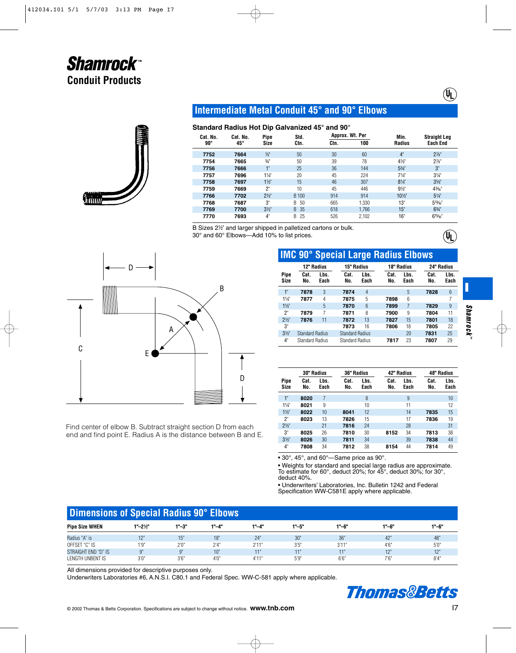

## **Intermediate Metal Conduit 45° and 90° Elbows**

## **Standard Radius Hot Dip Galvanized 45° and 90°**

| Cat. No. | Cat. No. | Pipe            | Std.     |      | Approx. Wt. Per | Min.             | <b>Straight Leg</b> |
|----------|----------|-----------------|----------|------|-----------------|------------------|---------------------|
| 90°      | 45°      | Size            | Ctn.     | Ctn. | 100             | <b>Radius</b>    | <b>Each End</b>     |
| 7752     | 7664     | $\frac{1}{2}$   | 50       | 30   | 60              | 4"               | $2\frac{7}{8}$      |
| 7754     | 7665     | $\frac{3}{4}$ " | 50       | 39   | 78              | 41/2"            | $2\%$ "             |
| 7756     | 7666     | 1"              | 25       | 36   | 144             | $5\frac{3}{4}$ " | 3"                  |
| 7757     | 7696     | $1\frac{1}{4}$  | 20       | 45   | 224             | $7\frac{1}{4}$   | $3\frac{1}{4}$      |
| 7758     | 7697     | $1\frac{1}{2}$  | 15       | 46   | 307             | $8\frac{1}{4}$   | $3\frac{5}{8}$      |
| 7759     | 7669     | 2"              | 10       | 45   | 446             | $9\frac{1}{2}$   | 43%"                |
| 7766     | 7702     | $2\frac{1}{2}$  | B 100    | 914  | 914             | 10%"             | $5\frac{1}{4}$      |
| 7768     | 7687     | 3"              | 50<br>B. | 665  | 1,330           | 13"              | $5^{13}/6$          |
| 7769     | 7700     | 3 <sup>′</sup>  | B 35     | 618  | 1.766           | 15"              | $6\frac{3}{4}$ "    |
| 7770     | 7693     | 4"              | 25<br>B  | 526  | 2,102           | 16"              | $6^{15}/16$         |

B Sizes 2<sup>1/2</sup> and larger shipped in palletized cartons or bulk. 30° and 60° Elbows—Add 10% to list prices.



Find center of elbow B. Subtract straight section D from each end and find point E. Radius A is the distance between B and E.

# **IMC 90° Special Large Radius Elbows**

|                | 12" Radius             |      | 15" Radius             |                        |      | 18" Radius | 24" Radius |      |
|----------------|------------------------|------|------------------------|------------------------|------|------------|------------|------|
| Pipe           | Cat.                   | Lbs. | Cat.                   | Lbs.                   | Cat. | Lbs.       | Cat.       | Lbs. |
| <b>Size</b>    | No.                    | Each | No.                    | Each                   | No.  | Each       | No.        | Each |
| 1"             | 7878                   | 3    | 7874                   | $\overline{4}$         |      | 5          | 7828       | 6    |
| $1\frac{1}{4}$ | 7877                   | 4    | 7875                   | 5                      | 7898 | 6          |            | 7    |
| $1\frac{1}{2}$ |                        | 5    | 7870                   | $6\overline{6}$        | 7899 | 7          | 7829       | 9    |
| 2"             | 7879                   | 7    | 7871                   | 8                      | 7900 | 9          | 7804       | 11   |
| $2\frac{1}{2}$ | 7876                   | 11   | 7872                   | 13                     | 7827 | 15         | 7801       | 18   |
| 3"             |                        |      | 7873                   | 16                     | 7806 | 18         | 7805       | 22   |
| 3 <sup>2</sup> | <b>Standard Radius</b> |      | <b>Standard Radius</b> |                        |      | 20         | 7831       | 25   |
| 4"             | <b>Standard Radius</b> |      |                        | <b>Standard Radius</b> |      | 23         | 7807       | 29   |

|                     | 30" Radius  |              | 36" Radius  |              | 42" Radius  |              | 48" Radius  |              |
|---------------------|-------------|--------------|-------------|--------------|-------------|--------------|-------------|--------------|
| Pipe<br><b>Size</b> | Cat.<br>No. | Lbs.<br>Each | Cat.<br>No. | Lbs.<br>Each | Cat.<br>No. | Lbs.<br>Each | Cat.<br>No. | Lbs.<br>Each |
| 1"                  | 8020        | 7            |             | 8            |             | 9            |             | 10           |
| $1\frac{1}{4}$      | 8021        | 9            |             | 10           |             | 11           |             | 12           |
| $1\frac{1}{2}$      | 8022        | 10           | 8041        | 12           |             | 14           | 7835        | 15           |
| 2"                  | 8023        | 13           | 7826        | 15           |             | 17           | 7836        | 19           |
| $2\frac{1}{2}$      |             | 21           | 7816        | 24           |             | 28           |             | 31           |
| 3"                  | 8025        | 26           | 7810        | 30           | 8152        | 34           | 7813        | 38           |
| 3 <sup>2</sup>      | 8026        | 30           | 7811        | 34           |             | 39           | 7838        | 44           |
| 4"                  | 7808        | 34           | 7812        | 38           | 8154        | 44           | 7814        | 49           |

• 30°, 45°, and 60°—Same price as 90°.

• Weights for standard and special large radius are approximate. To estimate for 60°, deduct 20%; for 45°, deduct 30%; for 30°, deduct 40%.

• Underwriters' Laboratories, Inc. Bulletin 1242 and Federal Specification WW-C581E apply where applicable.

# **Dimensions of Special Radius 90° Elbows**

| <b>Pipe Size WHEN</b> | $1 - 2\frac{1}{2}$ | $1 - 3$ " | 1"-4" | 1"-4"    | 1"-5"    | 1"-6"       | $1" - 6"$ | 1"-6"            |
|-----------------------|--------------------|-----------|-------|----------|----------|-------------|-----------|------------------|
| Radius "A" is         | 40                 | ΙU        | 18"   | 24"      | 30"      | 36"         | ירי       | 48"              |
| OFFSET "C" IS         | 1'Q"<br>- 6        | 2'0'      | 2'4'' | 2'11"    | 3'5'     | 3'11"<br>υı | 4.6"      | 5'0''            |
| STRAIGHT END "D" IS   | $\Omega$           | ω.        | 10"   | $-1 - 1$ | $-1 - 1$ | 4 H L       | 12"       | 10 <sup>11</sup> |
| LENGTH UNBENT IS      | 3'0'               | 3'6''     | 4'0'' | 4'11"    | 5'9''    | 6'6'        | 7.6"      | 0!4!             |

All dimensions provided for descriptive purposes only.

Underwriters Laboratories #6, A.N.S.I. C80.1 and Federal Spec. WW-C-581 apply where applicable.



**I**

Պ)

 $(\mathfrak{g})$ 

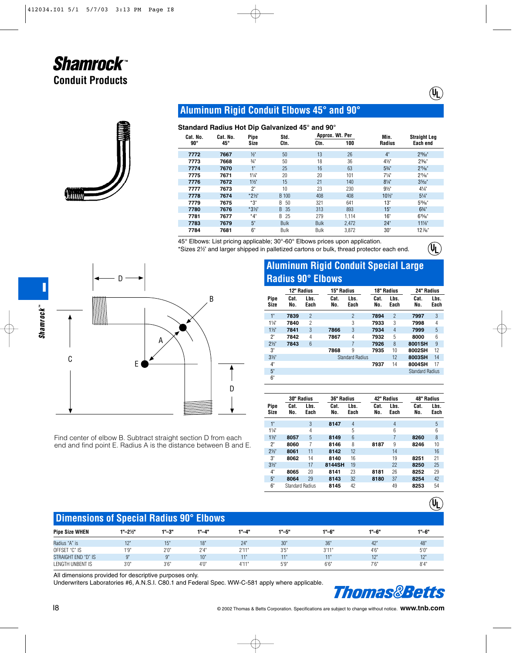

## **Aluminum Rigid Conduit Elbows 45° and 90°**

### **Standard Radius Hot Dip Galvanized 45° and 90°**

| Cat. No.     | Cat. No.     | <br>Pipe        | Std.        | Approx. Wt. Per |       | Min.             | <b>Straight Leg</b> |  |
|--------------|--------------|-----------------|-------------|-----------------|-------|------------------|---------------------|--|
| $90^{\circ}$ | $45^{\circ}$ | Size            | Ctn.        | Ctn.            | 100   | <b>Radius</b>    | Each end            |  |
| 7772         | 7667         | $\frac{1}{2}$   | 50          | 13              | 26    | 4"               | $2^{19/32}$         |  |
| 7773         | 7668         | $\frac{3}{4}$ " | 50          | 18              | 36    | $4\frac{1}{2}$   | 2%                  |  |
| 7774         | 7670         | 1"              | 25          | 16              | 63    | $5\frac{3}{4}$ " | $2^{11}/16"$        |  |
| 7775         | 7671         | $1\frac{1}{4}$  | 20          | 20              | 101   | $7\frac{1}{4}$   | $2^{11}/16"$        |  |
| 7776         | 7672         | $1\frac{1}{2}$  | 15          | 21              | 140   | $8\frac{1}{4}$   | $3\frac{5}{32}$ "   |  |
| 7777         | 7673         | 2"              | 10          | 23              | 230   | $9\frac{1}{2}$   | 41/4"               |  |
| 7778         | 7674         | $*2\frac{1}{2}$ | B 100       | 408             | 408   | 101/2"           | $5\frac{1}{4}$      |  |
| 7779         | 7675         | *3"             | 50<br>B.    | 321             | 641   | 13"              | $5^{13}/16"$        |  |
| 7780         | 7676         | $*3\frac{1}{2}$ | 35<br>B.    | 313             | 893   | 15"              | 63/4"               |  |
| 7781         | 7677         | $*4"$           | B 25        | 279             | 1.114 | 16"              | $6^{15}/n$          |  |
| 7783         | 7679         | 5"              | <b>Bulk</b> | <b>Bulk</b>     | 2.472 | 24"              | $11\%$ "            |  |
| 7784         | 7681         | 6"              | Bulk        | Bulk            | 3,872 | 30"              | 12 1/6"             |  |

45° Elbows: List pricing applicable; 30°-60° Elbows prices upon application.

\*Sizes 2<sup>1/2</sup> and larger shipped in palletized cartons or bulk, thread protector each end.



Find center of elbow B. Subtract straight section D from each end and find point E. Radius A is the distance between B and E.

# **Aluminum Rigid Conduit Special Large Radius 90° Elbows**

 $(\P)$ 

 $\left(\begin{matrix} 0 \\ 1 \end{matrix}\right)$ 

 $(\psi_{\text{L}})$ 

|                | 12" Radius  |                 | 15" Radius  |                        | 18" Radius  |                | 24" Radius             |              |
|----------------|-------------|-----------------|-------------|------------------------|-------------|----------------|------------------------|--------------|
| Pipe<br>Size   | Cat.<br>No. | Lbs.<br>Each    | Cat.<br>No. | Lbs.<br>Each           | Cat.<br>No. | Lbs.<br>Each   | Cat.<br>No.            | Lbs.<br>Each |
| 1"             | 7839        | $\overline{2}$  |             | $\overline{2}$         | 7894        | $\overline{2}$ | 7997                   | 3            |
| $1\frac{1}{4}$ | 7840        | $\overline{c}$  |             | 3                      | 7933        | 3              | 7998                   | 4            |
| $1\frac{1}{2}$ | 7841        | 3               | 7866        | 3                      | 7934        | 4              | 7999                   | 5            |
| 2"             | 7842        | 4               | 7867        | 4                      | 7932        | 5              | 8000                   | 6            |
| $2\frac{1}{2}$ | 7843        | $6\overline{6}$ |             |                        | 7926        | 8              | 8001SH                 | 9            |
| 3"             |             |                 | 7868        | 9                      | 7935        | 10             | 8002SH                 | 12           |
| $3\frac{1}{2}$ |             |                 |             | <b>Standard Radius</b> |             | 12             | 8003SH                 | 14           |
| 4"             |             |                 |             |                        | 7937        | 14             | 8004SH                 | 17           |
| 5"             |             |                 |             |                        |             |                | <b>Standard Radius</b> |              |
| 6"             |             |                 |             |                        |             |                |                        |              |

|                | 30" Radius             |              | 36" Radius  |              | 42" Radius  |              | 48" Radius  |              |  |
|----------------|------------------------|--------------|-------------|--------------|-------------|--------------|-------------|--------------|--|
| Pipe<br>Size   | Cat.<br>No.            | Lbs.<br>Each | Cat.<br>No. | Lbs.<br>Each | Cat.<br>No. | Lbs.<br>Each | Cat.<br>No. | Lbs.<br>Each |  |
| 1"             |                        | 3            | 8147        | 4            |             | 4            |             | 5            |  |
| $1\frac{1}{4}$ |                        | 4            |             | 5            |             | 6            |             | 6            |  |
| $1\frac{1}{2}$ | 8057                   | 5            | 8149        | 6            |             | 7            | 8260        | 8            |  |
| 2"             | 8060                   | 7            | 8146        | 8            | 8187        | 9            | 8246        | 10           |  |
| $2\frac{1}{2}$ | 8061                   | 11           | 8142        | 12           |             | 14           |             | 16           |  |
| 3"             | 8062                   | 14           | 8140        | 16           |             | 19           | 8251        | 21           |  |
| 3 <sup>2</sup> |                        | 17           | 8144SH      | 19           |             | 22           | 8250        | 25           |  |
| 4"             | 8065                   | 20           | 8141        | 23           | 8181        | 26           | 8252        | 29           |  |
| 5"             | 8064                   | 29           | 8143        | 32           | 8180        | 37           | 8254        | 42           |  |
| 6"             | <b>Standard Radius</b> |              | 8145        | 42           |             | 49           | 8253        | 54           |  |

# **Dimensions of Special Radius 90° Elbows**

| <b>Pipe Size WHEN</b> | $1 - 2\frac{1}{2}$ | $1" - 3"$ | 1"-4" | 1"-4"    | 1"-5" | 1"-6"       | 1"-6"      | $1 - 6$ "      |
|-----------------------|--------------------|-----------|-------|----------|-------|-------------|------------|----------------|
| Radius "A" is         | 40                 | ΙU        | 18"   | 24"      | 30"   | 36'         | $\sqrt{2}$ | 48"            |
| OFFSET "C" IS         | 1'Q"<br>- 6        | 2'0''     | 2'4'' | 2'11"    | 3'5   | 3'11"<br>⊍∣ | 4.6"       | 5'0''          |
| STRAIGHT END "D" IS   | $\Omega$           | Ω"        | 10"   | $-1 - 1$ | 441   | 4 H L       | 12"        | 40H            |
| LENGTH UNBENT IS      | 3'0'               | 3'6''     | 4'0'' | 4'11"    | 5'9'' | 6'6'        | 7.6"       | $0!$ $\Lambda$ |

All dimensions provided for descriptive purposes only.

Underwriters Laboratories #6, A.N.S.I. C80.1 and Federal Spec. WW-C-581 apply where applicable.

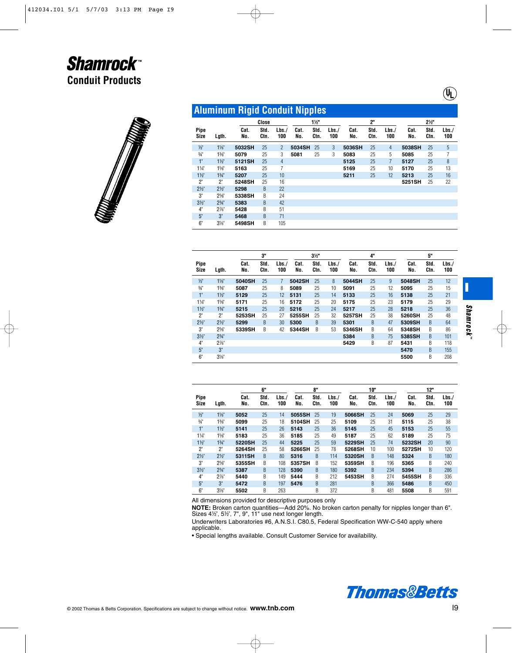|                     | <b>Aluminum Rigid Conduit Nipples</b> |             |              |                |             |                |             |             |              |             |             |                |             |
|---------------------|---------------------------------------|-------------|--------------|----------------|-------------|----------------|-------------|-------------|--------------|-------------|-------------|----------------|-------------|
|                     |                                       |             | Close        |                |             | $1\frac{1}{2}$ |             |             | 2"           |             |             | $2\frac{1}{2}$ |             |
| <b>Pipe</b><br>Size | Lgth.                                 | Cat.<br>No. | Std.<br>Ctn. | Lbs.<br>100    | Cat.<br>No. | Std.<br>Ctn.   | Lbs.<br>100 | Cat.<br>No. | Std.<br>Ctn. | Lbs.<br>100 | Cat.<br>No. | Std.<br>Ctn.   | Lbs.<br>100 |
| $\frac{1}{2}$       | $1\frac{1}{8}$                        | 5032SH      | 25           | $\overline{2}$ | 5034SH      | 25             | 3           | 5036SH      | 25           | 4           | 5038SH      | 25             | 5           |
| $\frac{3}{4}$       | 13/8"                                 | 5079        | 25           | 3              | 5081        | 25             | 3           | 5083        | 25           | 5           | 5085        | 25             | 7           |
| 1"                  | $1\frac{1}{2}$                        | 5121SH      | 25           | 4              |             |                |             | 5125        | 25           | 7           | 5127        | 25             | 8           |
| $1\frac{1}{4}$      | $15\frac{1}{8}$                       | 5163        | 25           | 7              |             |                |             | 5169        | 25           | 10          | 5170        | 25             | 13          |
| $1\frac{1}{2}$      | $1\frac{3}{4}$                        | 5207        | 25           | 10             |             |                |             | 5211        | 25           | 12          | 5213        | 25             | 16          |
| 2"                  | 2"                                    | 5248SH      | 25           | 16             |             |                |             |             |              |             | 5251SH      | 25             | 22          |
| $2\frac{1}{2}$      | $2\frac{1}{2}$                        | 5298        | B            | 22             |             |                |             |             |              |             |             |                |             |
| 3"                  | $2\frac{5}{8}$                        | 5338SH      | B            | 24             |             |                |             |             |              |             |             |                |             |
| 3 <sup>2</sup>      | $2\frac{3}{4}$ "                      | 5383        | B            | 42             |             |                |             |             |              |             |             |                |             |
| 4"                  | $2\%$ "                               | 5428        | B            | 51             |             |                |             |             |              |             |             |                |             |
| 5 <sup>°</sup>      | 3"                                    | 5468        | B            | 71             |             |                |             |             |              |             |             |                |             |
| 6"                  | $3\frac{1}{8}$                        | 5498SH      | B            | 105            |             |                |             |             |              |             |             |                |             |

|                            |                  |             | 3"           |             |             | $3\frac{1}{2}$ |             |             | 4"           |             |             | 5"           |             |
|----------------------------|------------------|-------------|--------------|-------------|-------------|----------------|-------------|-------------|--------------|-------------|-------------|--------------|-------------|
| <b>Pipe</b><br><b>Size</b> | Lgth.            | Cat.<br>No. | Std.<br>Ctn. | Lbs.<br>100 | Cat.<br>No. | Std.<br>Ctn.   | Lbs.<br>100 | Cat.<br>No. | Std.<br>Ctn. | Lbs.<br>100 | Cat.<br>No. | Std.<br>Ctn. | Lbs.<br>100 |
| $\frac{1}{2}$              | $1\frac{1}{8}$   | 5040SH      | 25           | 7           | 5042SH      | 25             | 8           | 5044SH      | 25           | 9           | 5048SH      | 25           | 12          |
| $\frac{3}{4}$              | $1\frac{3}{8}$ " | 5087        | 25           | 8           | 5089        | 25             | 10          | 5091        | 25           | 12          | 5095        | 25           | 15          |
| $1^{\circ}$                | $1\frac{1}{2}$   | 5129        | 25           | 12          | 5131        | 25             | 14          | 5133        | 25           | 16          | 5138        | 25           | 21          |
| $1\frac{1}{4}$             | $15/8$ "         | 5171        | 25           | 16          | 5172        | 25             | 20          | 5175        | 25           | 23          | 5179        | 25           | 29          |
| $1\frac{1}{2}$             | $1\frac{3}{4}$   | 5215        | 25           | 20          | 5216        | 25             | 24          | 5217        | 25           | 28          | 5218        | 25           | 36          |
| $2^{\circ}$                | 2"               | 5253SH      | 25           | 27          | 5255SH      | 25             | 32          | 5257SH      | 25           | 38          | 5260SH      | 25           | 48          |
| $2\frac{1}{2}$             | $2\frac{1}{2}$   | 5299        | B            | 30          | 5300        | B              | 39          | 5301        | B            | 47          | 5309SH      | B            | 64          |
| 3"                         | $25\frac{1}{8}$  | 5339SH      | B            | 42          | 5344SH      | B              | 53          | 5346SH      | B            | 64          | 5348SH      | B            | 86          |
| $3\frac{1}{2}$             | $2^{3}/4$ "      |             |              |             |             |                |             | 5384        | B            | 75          | 5385SH      | B            | 101         |
| $4^{\circ}$                | $2\%$ "          |             |              |             |             |                |             | 5429        | B            | 87          | 5431        | B            | 118         |
| 5 <sup>°</sup>             | 3"               |             |              |             |             |                |             |             |              |             | 5470        | <sub>B</sub> | 155         |
| 6"                         | $3\frac{1}{8}$   |             |              |             |             |                |             |             |              |             | 5500        | B            | 208         |

|                     |                 |             | 6"           |             |             | 8"           |             |             | 10"          |             |             | 12"          |             |
|---------------------|-----------------|-------------|--------------|-------------|-------------|--------------|-------------|-------------|--------------|-------------|-------------|--------------|-------------|
| Pipe<br><b>Size</b> | Lgth.           | Cat.<br>No. | Std.<br>Ctn. | Lbs.<br>100 | Cat.<br>No. | Std.<br>Ctn. | Lbs.<br>100 | Cat.<br>No. | Std.<br>Ctn. | Lbs.<br>100 | Cat.<br>No. | Std.<br>Ctn. | Lbs.<br>100 |
| $\frac{1}{2}$       | $1\frac{1}{8}$  | 5052        | 25           | 14          | 5055SH      | 25           | 19          | 5066SH      | 25           | 24          | 5069        | 25           | 29          |
| $\frac{3}{4}$       | 13/8"           | 5099        | 25           | 18          | 5104SH      | 25           | 25          | 5109        | 25           | 31          | 5115        | 25           | 38          |
| $1^{\circ}$         | $1\frac{1}{2}$  | 5141        | 25           | 26          | 5143        | 25           | 36          | 5145        | 25           | 45          | 5153        | 25           | 55          |
| $1\frac{1}{4}$      | $1\frac{5}{8}$  | 5183        | 25           | 36          | 5185        | 25           | 49          | 5187        | 25           | 62          | 5189        | 25           | 75          |
| $1\frac{1}{2}$      | $1\frac{3}{4}$  | 5220SH      | 25           | 44          | 5225        | 25           | 59          | 5229SH      | 25           | 74          | 5232SH      | 20           | 90          |
| 2"                  | 2"              | 5264SH      | 25           | 58          | 5266SH      | 25           | 78          | 5268SH      | 10           | 100         | 5272SH      | 10           | 120         |
| $2\frac{1}{2}$      | $2\frac{1}{2}$  | 5311SH      | B            | 80          | 5316        | B            | 114         | 5320SH      | B            | 148         | 5324        | B            | 180         |
| 3"                  | $25\frac{1}{8}$ | 5355SH      | B            | 108         | 5357SH      | B            | 152         | 5359SH      | B            | 196         | 5365        | B            | 240         |
| $3\frac{1}{2}$      | $2^{3}/4$ "     | 5387        | B            | 128         | 5390        | B            | 180         | 5392        | B            | 234         | 5394        | B            | 286         |
| $4^{\circ}$         | $2\%$ "         | 5440        | B            | 149         | 5444        | B            | 212         | 5453SH      | B            | 274         | 5455SH      | B            | 336         |
| 5 <sup>°</sup>      | 3"              | 5472        | B            | 197         | 5476        | B            | 281         |             | B            | 366         | 5486        | B            | 450         |
| 6"                  | $3\frac{1}{8}$  | 5502        | B            | 263         |             | B            | 372         |             | B            | 481         | 5508        | B            | 591         |

All dimensions provided for descriptive purposes only

**NOTE:** Broken carton quantities—Add 20%. No broken carton penalty for nipples longer than 6".<br>Sizes 4½", 5½", 7", 9", 11" use next longer length.

Underwriters Laboratories #6, A.N.S.I. C80.5, Federal Specification WW-C-540 apply where applicable.

• Special lengths available. Consult Customer Service for availability.



**I**

 $\left(\overline{\mathbf{\Psi}}\right)$ 

*Shamrock Shamrock*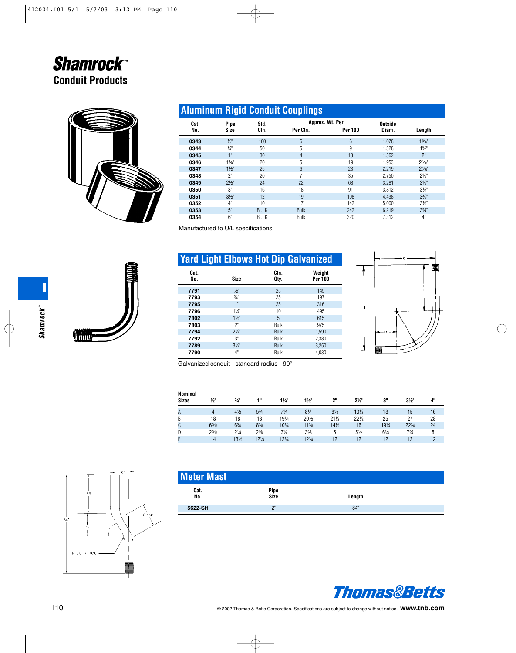

# **Aluminum Rigid Conduit Couplings**

| Cat. | Pipe           | Std.        |             | Approx. Wt. Per | Outside |                  |
|------|----------------|-------------|-------------|-----------------|---------|------------------|
| No.  | <b>Size</b>    | Ctn.        | Per Ctn.    | <b>Per 100</b>  | Diam.   | Length           |
| 0343 | $\frac{1}{2}$  | 100         | 6           | 6               | 1.078   | $1\%$            |
| 0344 | $\frac{3}{4}$  | 50          | 5           | 9               | 1.328   | $1\%$ "          |
| 0345 | $1^{\circ}$    | 30          | 4           | 13              | 1.562   | 2"               |
| 0346 | $1\frac{1}{4}$ | 20          | 5           | 19              | 1.953   | $216$ "          |
| 0347 | $1\frac{1}{2}$ | 25          | 6           | 23              | 2.219   | $2\frac{1}{6}$   |
| 0348 | 2"             | 20          | 7           | 35              | 2.750   | $2\frac{1}{8}$ " |
| 0349 | $2\frac{1}{2}$ | 24          | 22          | 68              | 3.281   | $3\frac{1}{8}$   |
| 0350 | 3"             | 16          | 18          | 91              | 3.812   | $3\frac{1}{4}$   |
| 0351 | $3\frac{1}{2}$ | 12          | 19          | 108             | 4.438   | $3\frac{3}{8}$   |
| 0352 | 4"             | 10          | 17          | 142             | 5.000   | $3\frac{1}{2}$   |
| 0353 | 5"             | <b>BULK</b> | <b>Bulk</b> | 242             | 6.219   | $3\frac{3}{4}$   |
| 0354 | 6"             | <b>BULK</b> | Bulk        | 320             | 7.312   | 4"               |

Manufactured to U/L specifications.

|             | <b>Yard Light Elbows Hot Dip Galvanized</b> |              |                   |
|-------------|---------------------------------------------|--------------|-------------------|
| Cat.<br>No. | <b>Size</b>                                 | Ctn.<br>Qtv. | Weight<br>Per 100 |
| 7791        | $\frac{1}{2}$                               | 25           | 145               |
| 7793        | $\frac{3}{4}$ "                             | 25           | 197               |
| 7795        | 1"                                          | 25           | 316               |
| 7796        | $1\frac{1}{4}$                              | 10           | 495               |
| 7802        | $1\frac{1}{2}$                              | 5            | 615               |
| 7803        | 2"                                          | Bulk         | 975               |
| 7794        | $2\frac{1}{2}$                              | <b>Bulk</b>  | 1,590             |
| 7792        | 3"                                          | Bulk         | 2,380             |
| 7789        | $3\frac{1}{2}$                              | <b>Bulk</b>  | 3.250             |
| 7790        | $4^{\circ}$                                 | Bulk         | 4.030             |



Galvanized conduit - standard radius - 90°

| Nominal      |                 |                |                |                |                |                 |                 |       |                |    |
|--------------|-----------------|----------------|----------------|----------------|----------------|-----------------|-----------------|-------|----------------|----|
| <b>Sizes</b> | $\frac{1}{2}$   | $\frac{3}{4}$  | 48             | $1\frac{1}{4}$ | $1\frac{1}{2}$ | 2"              | $2\frac{1}{2}$  | 3"    | $3\frac{1}{2}$ | 4" |
| A            | 4               | $4\frac{1}{2}$ | $5\frac{3}{4}$ | $7\frac{1}{4}$ | $8\frac{1}{4}$ | $9\frac{1}{2}$  | 101/2           | 13    | 15             | 16 |
| B            | 18              | 18             | 18             | 191/4          | 201/2          | $21\frac{1}{2}$ | $22\frac{1}{2}$ | 25    | 27             | 28 |
| C            | $6\frac{3}{16}$ | 63/4           | $8\frac{5}{6}$ | 101/4          | 11%            | $14\frac{1}{2}$ | 16              | 191/4 | 223/4          | 24 |
| D            | $2\frac{3}{16}$ | $2\frac{1}{4}$ | $2\frac{7}{8}$ | $3\frac{1}{4}$ | $3\frac{3}{8}$ | 5               | $5\frac{1}{2}$  | 61/4  | 73/4           | 8  |
| E.           | 14              | 13½            | 121/4          | 121/4          | 121/4          | 12              | 12              | 12    | 12             | 12 |
|              |                 |                |                |                |                |                 |                 |       |                |    |

| <b>Meter Mast</b> |              |        |  |
|-------------------|--------------|--------|--|
| Cat.<br>No.       | Pipe<br>Size | Length |  |
| 5622-SH           | יפ           | 84"    |  |





**Olitical**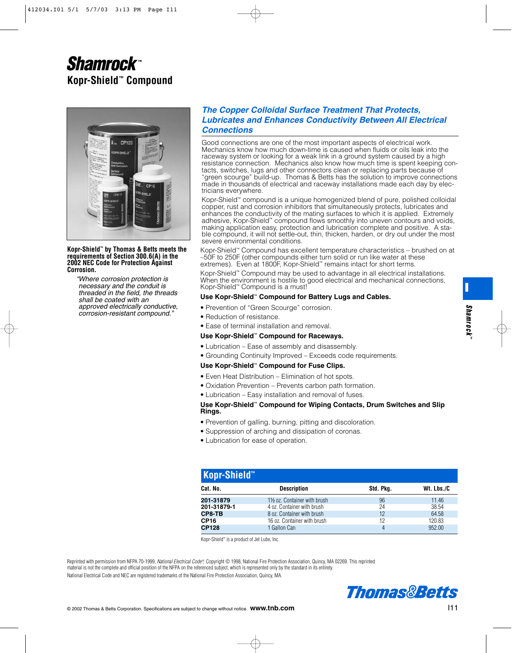

#### **Kopr-Shield™ by Thomas & Betts meets the requirements of Section 300.6(A) in the 2002 NEC Code for Protection Against Corrosion.**

"Where corrosion protection is necessary and the conduit is threaded in the field, the threads shall be coated with an approved electrically conductive, corrosion-resistant compound."

## *The Copper Colloidal Surface Treatment That Protects, Lubricates and Enhances Conductivity Between All Electrical Connections*

Good connections are one of the most important aspects of electrical work. Mechanics know how much down-time is caused when fluids or oils leak into the raceway system or looking for a weak link in a ground system caused by a high resistance connection. Mechanics also know how much time is spent keeping contacts, switches, lugs and other connectors clean or replacing parts because of "green scourge" build-up. Thomas & Betts has the solution to improve connections made in thousands of electrical and raceway installations made each day by electricians everywhere.

Kopr-Shield™ compound is a unique homogenized blend of pure, polished colloidal copper, rust and corrosion inhibitors that simultaneously protects, lubricates and enhances the conductivity of the mating surfaces to which it is applied. Extremely adhesive, Kopr-Shield™ compound flows smoothly into uneven contours and voids, making application easy, protection and lubrication complete and positive. A stable compound, it will not settle-out, thin, thicken, harden, or dry out under the most severe environmental conditions.

Kopr-Shield™ Compound has excellent temperature characteristics – brushed on at –50F to 250F (other compounds either turn solid or run like water at these extremes). Even at 1800F, Kopr-Shield™ remains intact for short terms.

Kopr-Shield™ Compound may be used to advantage in all electrical installations. When the environment is hostile to good electrical and mechanical connections, Kopr-Shield™ Compound is a must!

#### **Use Kopr-Shield**™ **Compound for Battery Lugs and Cables.**

- Prevention of "Green Scourge" corrosion.
- Reduction of resistance.

• Ease of terminal installation and removal.

#### **Use Kopr-Shield**™ **Compound for Raceways.**

- Lubrication Ease of assembly and disassembly.
- Grounding Continuity Improved Exceeds code requirements.

#### **Use Kopr-Shield**™ **Compound for Fuse Clips.**

- Even Heat Distribution Elimination of hot spots.
- Oxidation Prevention Prevents carbon path formation.
- Lubrication Easy installation and removal of fuses.

#### **Use Kopr-Shield**™ **Compound for Wiping Contacts, Drum Switches and Slip Rings.**

- Prevention of galling, burning, pitting and discoloration.
- Suppression of arching and dissipation of coronas.
- Lubrication for ease of operation.

| Kopr-Shield <sup>™</sup> |                             |           |            |  |  |  |
|--------------------------|-----------------------------|-----------|------------|--|--|--|
| Cat. No.                 | <b>Description</b>          | Std. Pkg. | Wt. Lbs./C |  |  |  |
| 201-31879                | 1½ oz. Container with brush | 96        | 11.46      |  |  |  |
| 201-31879-1              | 4 oz. Container with brush  | 24        | 38.54      |  |  |  |
| CP8-TB                   | 8 oz. Container with brush  | 12        | 64.58      |  |  |  |
| <b>CP16</b>              | 16 oz. Container with brush | 12        | 120.83     |  |  |  |
| <b>CP128</b>             | 1 Gallon Can                |           | 95200      |  |  |  |

Kopr-Shield™ is a product of Jet Lube, Inc.

Reprinted with permission from NFPA 70-1999, National Electrical Code® Copyright © 1998, National Fire Protection Association, Quincy, MA 02269. This reprinted material is not the complete and official position of the NFPA on the referenced subject, which is represented only by the standard in its entirety. National Electrical Code and NEC are registered trademarks of the National Fire Protection Association, Quincy, MA.



**I**

*Shamrock*

Shamrock

**™**